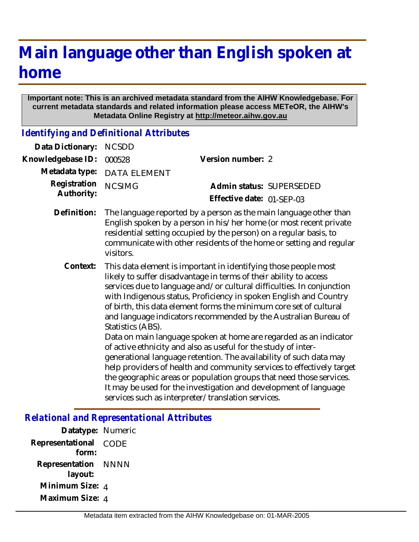## **Main language other than English spoken at home**

## **Important note: This is an archived metadata standard from the AIHW Knowledgebase. For current metadata standards and related information please access METeOR, the AIHW's Metadata Online Registry at http://meteor.aihw.gov.au**

*Identifying and Definitional Attributes*

| Data Dictionary:           | <b>NCSDD</b>                                                                                                                                                                                                                                                                                                                                                                                                                                                                                                                                                                                                                                                                                                                                                                                                                                                                                                                            |                           |
|----------------------------|-----------------------------------------------------------------------------------------------------------------------------------------------------------------------------------------------------------------------------------------------------------------------------------------------------------------------------------------------------------------------------------------------------------------------------------------------------------------------------------------------------------------------------------------------------------------------------------------------------------------------------------------------------------------------------------------------------------------------------------------------------------------------------------------------------------------------------------------------------------------------------------------------------------------------------------------|---------------------------|
| Knowledgebase ID:          | 000528                                                                                                                                                                                                                                                                                                                                                                                                                                                                                                                                                                                                                                                                                                                                                                                                                                                                                                                                  | Version number: 2         |
| Metadata type:             | <b>DATA ELEMENT</b>                                                                                                                                                                                                                                                                                                                                                                                                                                                                                                                                                                                                                                                                                                                                                                                                                                                                                                                     |                           |
| Registration<br>Authority: | <b>NCSIMG</b>                                                                                                                                                                                                                                                                                                                                                                                                                                                                                                                                                                                                                                                                                                                                                                                                                                                                                                                           | Admin status: SUPERSEDED  |
|                            |                                                                                                                                                                                                                                                                                                                                                                                                                                                                                                                                                                                                                                                                                                                                                                                                                                                                                                                                         | Effective date: 01-SEP-03 |
| Definition:                | The language reported by a person as the main language other than<br>English spoken by a person in his/her home (or most recent private<br>residential setting occupied by the person) on a regular basis, to<br>communicate with other residents of the home or setting and regular<br>visitors.                                                                                                                                                                                                                                                                                                                                                                                                                                                                                                                                                                                                                                       |                           |
| Context:                   | This data element is important in identifying those people most<br>likely to suffer disadvantage in terms of their ability to access<br>services due to language and/or cultural difficulties. In conjunction<br>with Indigenous status, Proficiency in spoken English and Country<br>of birth, this data element forms the minimum core set of cultural<br>and language indicators recommended by the Australian Bureau of<br>Statistics (ABS).<br>Data on main language spoken at home are regarded as an indicator<br>of active ethnicity and also as useful for the study of inter-<br>generational language retention. The availability of such data may<br>help providers of health and community services to effectively target<br>the geographic areas or population groups that need those services.<br>It may be used for the investigation and development of language<br>services such as interpreter/translation services. |                           |

## *Relational and Representational Attributes*

| Datatype: Numeric |
|-------------------|
| CODE              |
| <b>NNNN</b>       |
| Minimum Size: 4   |
| Maximum Size: 4   |
|                   |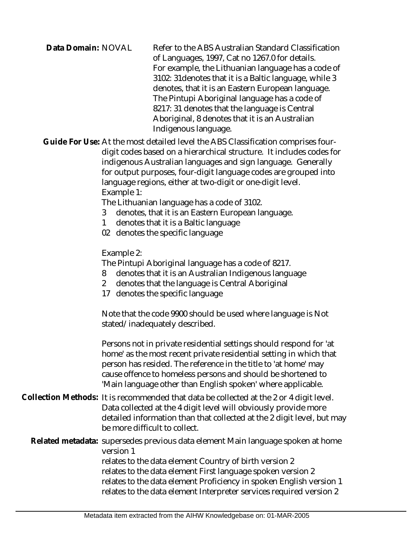| Data Domain: NOVAL | Refer to the ABS Australian Standard Classification<br>of Languages, 1997, Cat no 1267.0 for details.<br>For example, the Lithuanian language has a code of<br>3102: 31 denotes that it is a Baltic language, while 3<br>denotes, that it is an Eastern European language.<br>The Pintupi Aboriginal language has a code of<br>8217: 31 denotes that the language is Central<br>Aboriginal, 8 denotes that it is an Australian<br>Indigenous language. |
|--------------------|--------------------------------------------------------------------------------------------------------------------------------------------------------------------------------------------------------------------------------------------------------------------------------------------------------------------------------------------------------------------------------------------------------------------------------------------------------|
|--------------------|--------------------------------------------------------------------------------------------------------------------------------------------------------------------------------------------------------------------------------------------------------------------------------------------------------------------------------------------------------------------------------------------------------------------------------------------------------|

Guide For Use: At the most detailed level the ABS Classification comprises fourdigit codes based on a hierarchical structure. It includes codes for indigenous Australian languages and sign language. Generally for output purposes, four-digit language codes are grouped into language regions, either at two-digit or one-digit level. Example 1:

The Lithuanian language has a code of 3102.

- 3 denotes, that it is an Eastern European language.
- 1 denotes that it is a Baltic language
- 02 denotes the specific language

Example 2:

The Pintupi Aboriginal language has a code of 8217.

- 8 denotes that it is an Australian Indigenous language
- 2 denotes that the language is Central Aboriginal
- 17 denotes the specific language

Note that the code 9900 should be used where language is Not stated/inadequately described.

Persons not in private residential settings should respond for 'at home' as the most recent private residential setting in which that person has resided. The reference in the title to 'at home' may cause offence to homeless persons and should be shortened to 'Main language other than English spoken' where applicable.

Collection Methods: It is recommended that data be collected at the 2 or 4 digit level. Data collected at the 4 digit level will obviously provide more detailed information than that collected at the 2 digit level, but may be more difficult to collect.

Related metadata: supersedes previous data element Main language spoken at home version 1 relates to the data element Country of birth version 2 relates to the data element First language spoken version 2 relates to the data element Proficiency in spoken English version 1 relates to the data element Interpreter services required version 2